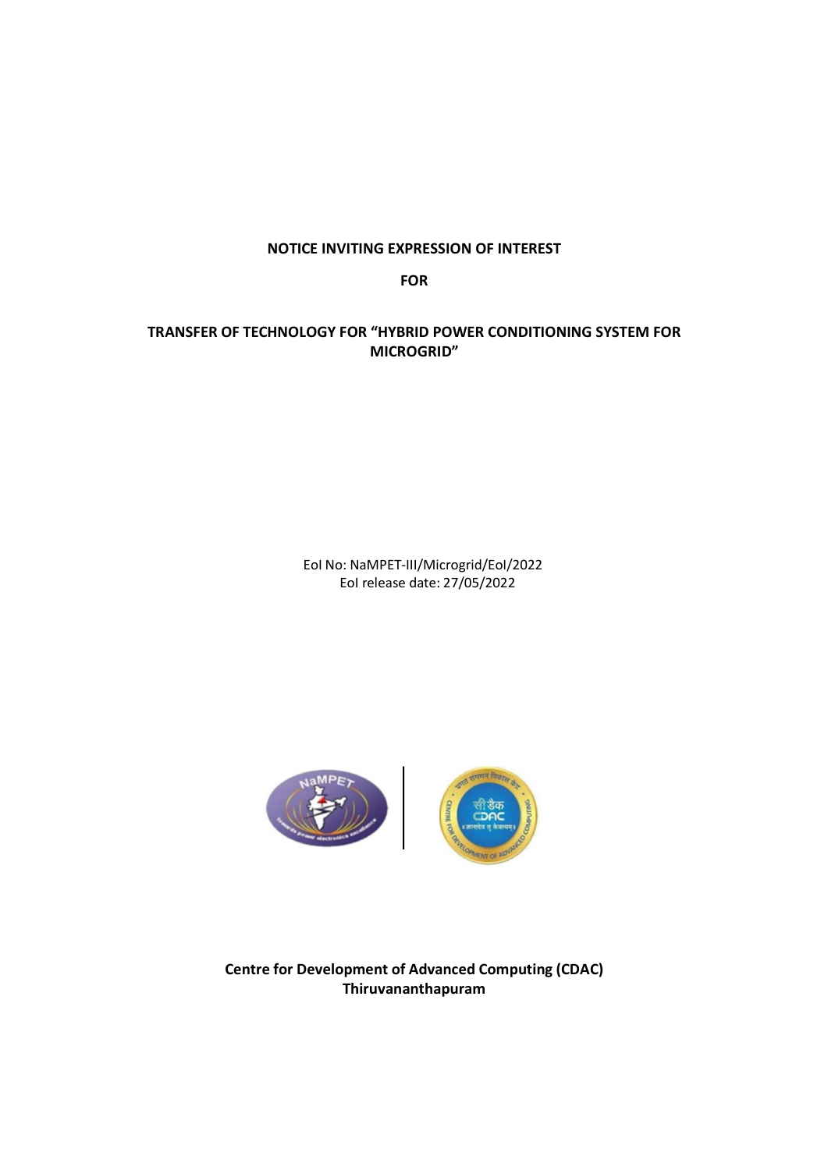## NOTICE INVITING EXPRESSION OF INTEREST

FOR

## TRANSFER OF TECHNOLOGY FOR "HYBRID POWER CONDITIONING SYSTEM FOR MICROGRID"

EoI No: NaMPET-III/Microgrid/EoI/2022 EoI release date: 27/05/2022



Centre for Development of Advanced Computing (CDAC) Thiruvananthapuram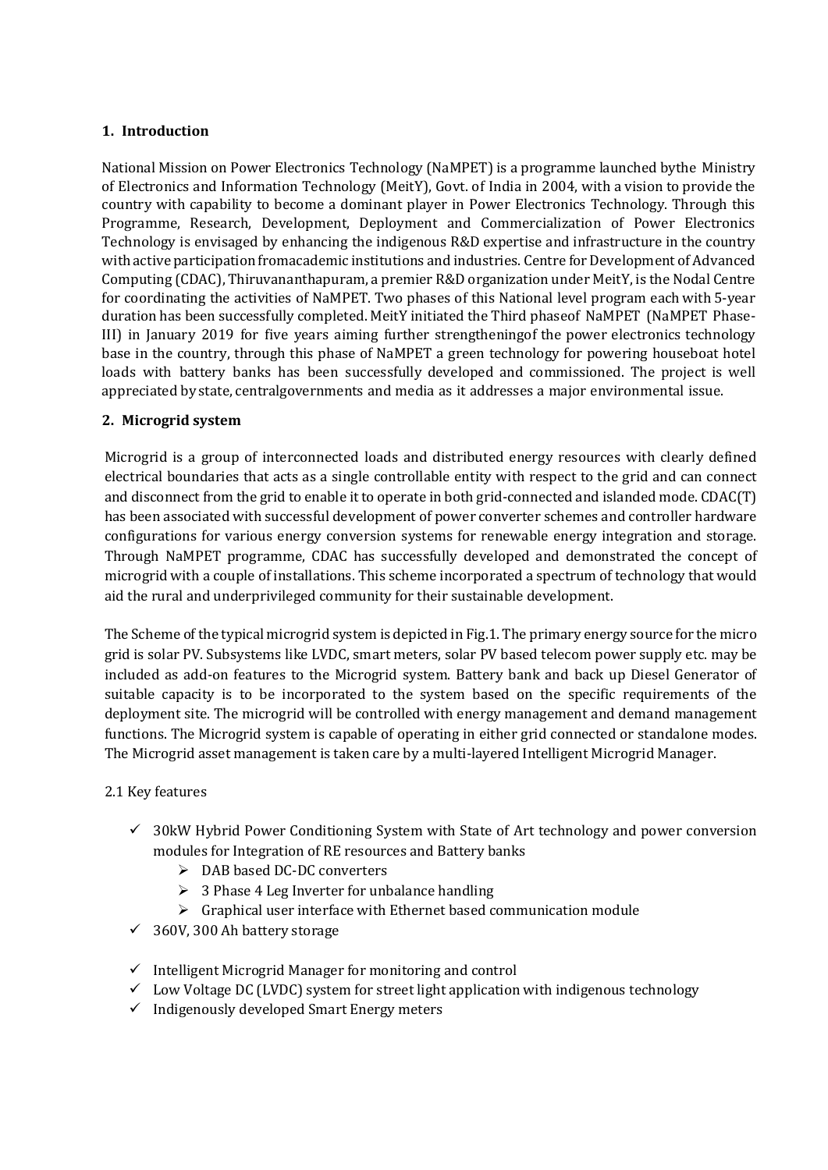## 1. Introduction

National Mission on Power Electronics Technology (NaMPET) is a programme launched by the Ministry of Electronics and Information Technology (MeitY), Govt. of India in 2004, with a vision to provide the country with capability to become a dominant player in Power Electronics Technology. Through this Programme, Research, Development, Deployment and Commercialization of Power Electronics Technology is envisaged by enhancing the indigenous R&D expertise and infrastructure in the country with active participation from academic institutions and industries. Centre for Development of Advanced Computing (CDAC), Thiruvananthapuram, a premier R&D organization under MeitY, is the Nodal Centre for coordinating the activities of NaMPET. Two phases of this National level program each with 5-year duration has been successfully completed. MeitY initiated the Third phaseof NaMPET (NaMPET Phase-III) in January 2019 for five years aiming further strengthening of the power electronics technology base in the country, through this phase of NaMPET a green technology for powering houseboat hotel loads with battery banks has been successfully developed and commissioned. The project is well appreciated by state, centralgovernments and media as it addresses a major environmental issue.

### 2. Microgrid system

Microgrid is a group of interconnected loads and distributed energy resources with clearly defined electrical boundaries that acts as a single controllable entity with respect to the grid and can connect and disconnect from the grid to enable it to operate in both grid-connected and islanded mode. CDAC(T) has been associated with successful development of power converter schemes and controller hardware configurations for various energy conversion systems for renewable energy integration and storage. Through NaMPET programme, CDAC has successfully developed and demonstrated the concept of microgrid with a couple of installations. This scheme incorporated a spectrum of technology that would aid the rural and underprivileged community for their sustainable development.

The Scheme of the typical microgrid system is depicted in Fig.1. The primary energy source for the micro grid is solar PV. Subsystems like LVDC, smart meters, solar PV based telecom power supply etc. may be included as add-on features to the Microgrid system. Battery bank and back up Diesel Generator of suitable capacity is to be incorporated to the system based on the specific requirements of the deployment site. The microgrid will be controlled with energy management and demand management functions. The Microgrid system is capable of operating in either grid connected or standalone modes. The Microgrid asset management is taken care by a multi-layered Intelligent Microgrid Manager.

### 2.1 Key features

- $\checkmark$  30kW Hybrid Power Conditioning System with State of Art technology and power conversion modules for Integration of RE resources and Battery banks
	- DAB based DC-DC converters
	- $\geq 3$  Phase 4 Leg Inverter for unbalance handling
	- $\triangleright$  Graphical user interface with Ethernet based communication module
- $\checkmark$  360V, 300 Ah battery storage
- $\checkmark$  Intelligent Microgrid Manager for monitoring and control
- $\checkmark$  Low Voltage DC (LVDC) system for street light application with indigenous technology
- $\checkmark$  Indigenously developed Smart Energy meters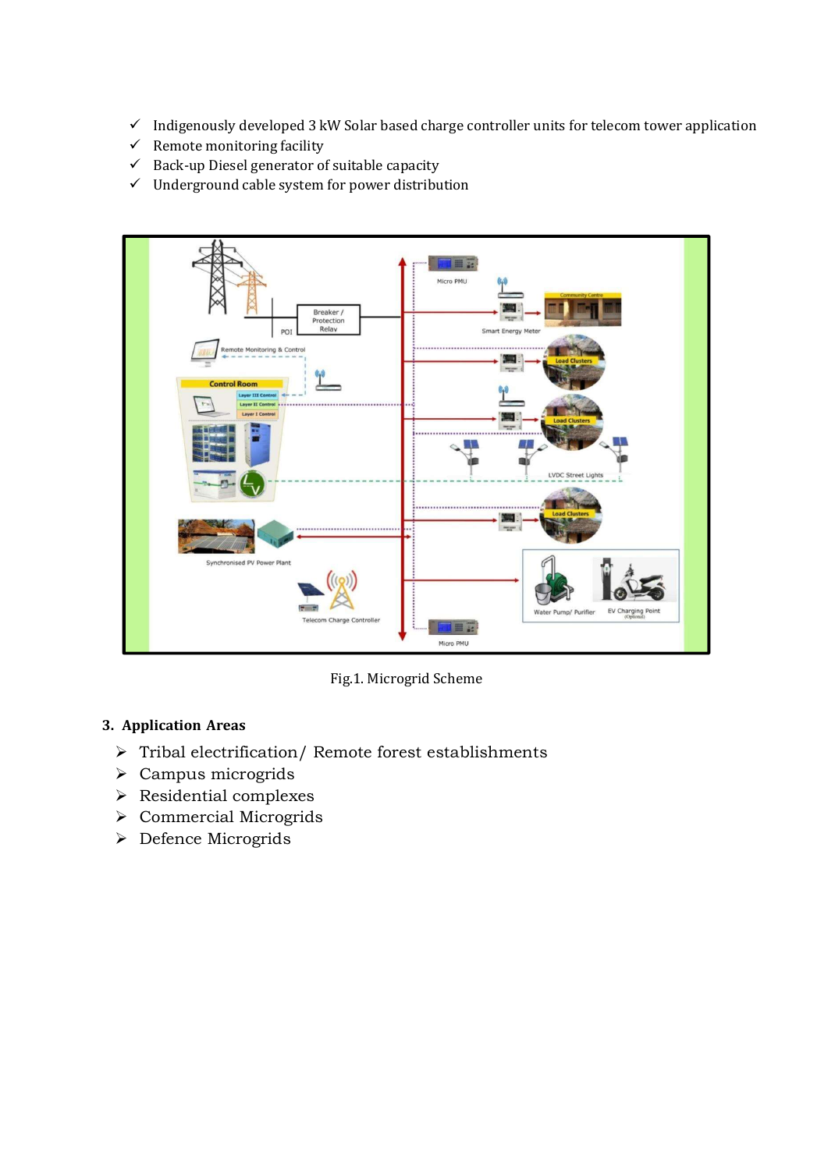- $\checkmark$  Indigenously developed 3 kW Solar based charge controller units for telecom tower application
- $\checkmark$  Remote monitoring facility
- $\checkmark$  Back-up Diesel generator of suitable capacity
- $\checkmark$  Underground cable system for power distribution



Fig.1. Microgrid Scheme

## 3. Application Areas

- $\triangleright$  Tribal electrification/ Remote forest establishments
- $\triangleright$  Campus microgrids
- Residential complexes
- Commercial Microgrids
- > Defence Microgrids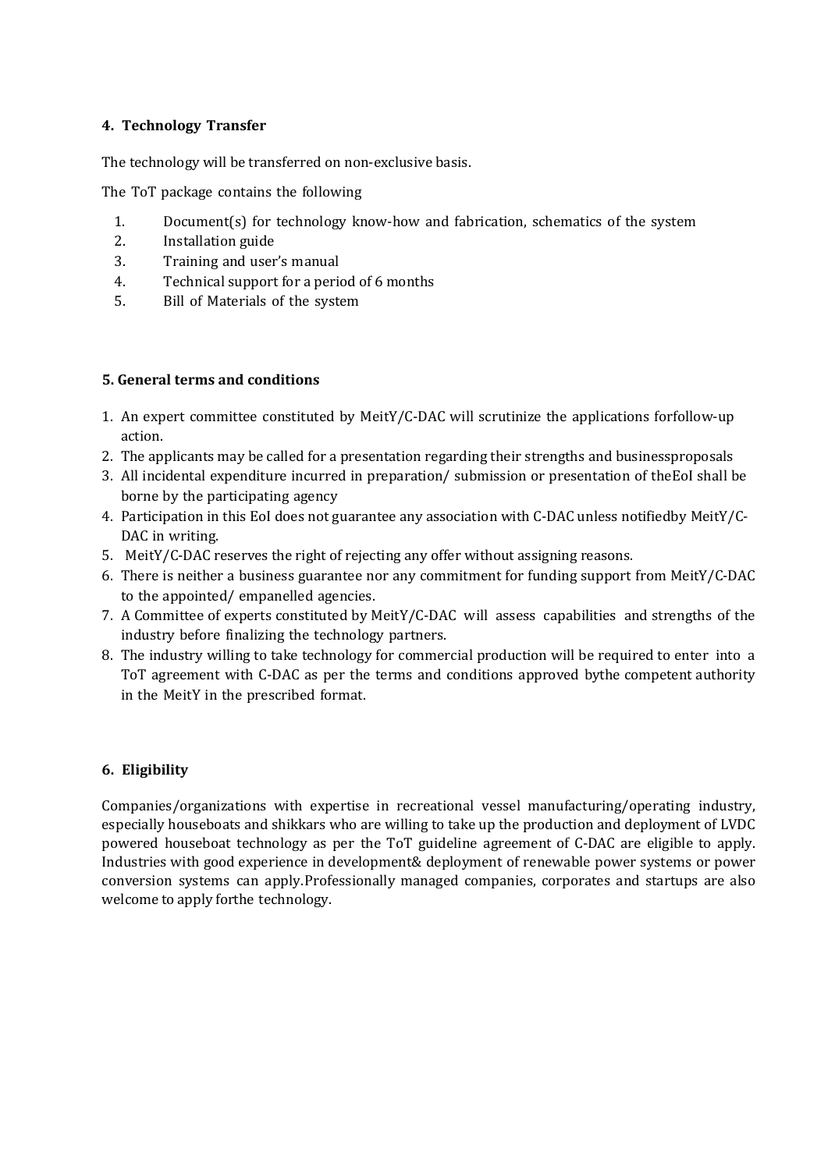## 4. Technology Transfer

The technology will be transferred on non-exclusive basis.

The ToT package contains the following

- 1. Document(s) for technology know-how and fabrication, schematics of the system
- 2. Installation guide
- 3. Training and user's manual
- 4. Technical support for a period of 6 months
- 5. Bill of Materials of the system

#### 5. General terms and conditions

- 1. An expert committee constituted by MeitY/C-DAC will scrutinize the applications for follow-up action.
- 2. The applicants may be called for a presentation regarding their strengths and business proposals
- 3. All incidental expenditure incurred in preparation/ submission or presentation of the EoI shall be borne by the participating agency
- 4. Participation in this EoI does not guarantee any association with C-DAC unless notifiedby MeitY/C-DAC in writing.
- 5. MeitY/C-DAC reserves the right of rejecting any offer without assigning reasons.
- 6. There is neither a business guarantee nor any commitment for funding support from MeitY/C-DAC to the appointed/ empanelled agencies.
- 7. A Committee of experts constituted by MeitY/C-DAC will assess capabilities and strengths of the industry before finalizing the technology partners.
- 8. The industry willing to take technology for commercial production will be required to enter into a ToT agreement with C-DAC as per the terms and conditions approved by the competent authority in the MeitY in the prescribed format.

### 6. Eligibility

Companies/organizations with expertise in recreational vessel manufacturing/operating industry, especially houseboats and shikkars who are willing to take up the production and deployment of LVDC powered houseboat technology as per the ToT guideline agreement of C-DAC are eligible to apply. Industries with good experience in development & deployment of renewable power systems or power conversion systems can apply. Professionally managed companies, corporates and startups are also welcome to apply for the technology.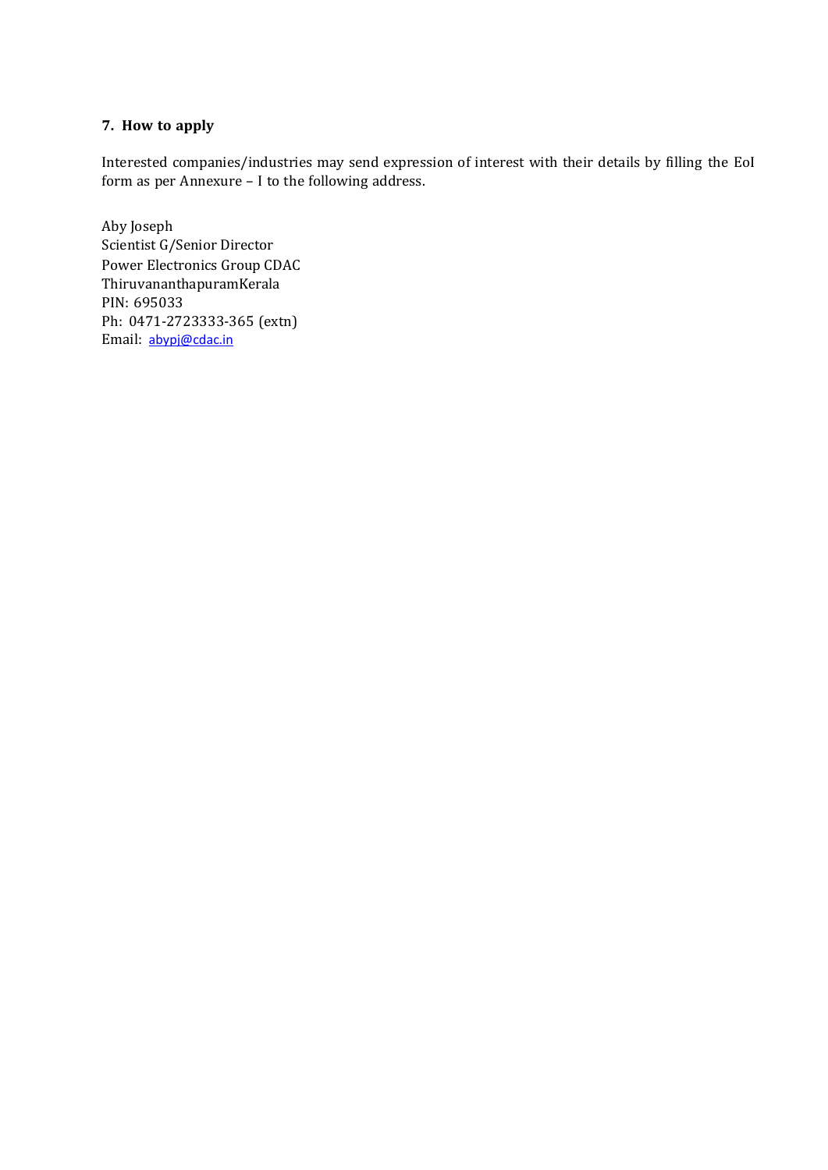# 7. How to apply

Interested companies/industries may send expression of interest with their details by filling the EoI form as per Annexure – I to the following address.

Aby Joseph Scientist G/Senior Director Power Electronics Group CDAC Thiruvananthapuram Kerala PIN: 695033 Ph: 0471-2723333-365 (extn) Email: abypj@cdac.in